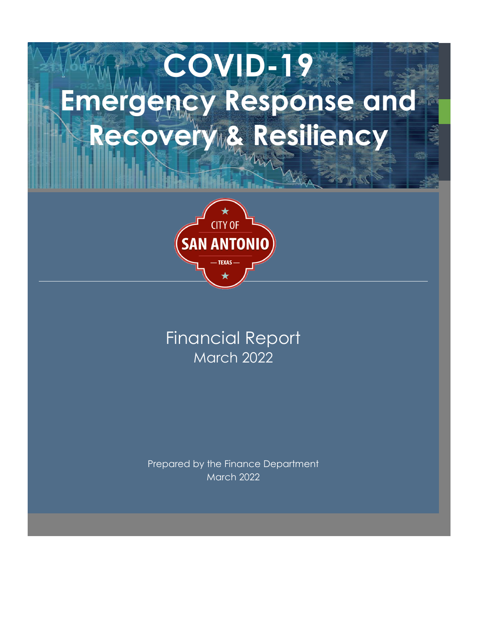# **COVID-19 Emergency Response and**  Recovery & Resiliency



# Financial Report March 2022

Prepared by the Finance Department March 2022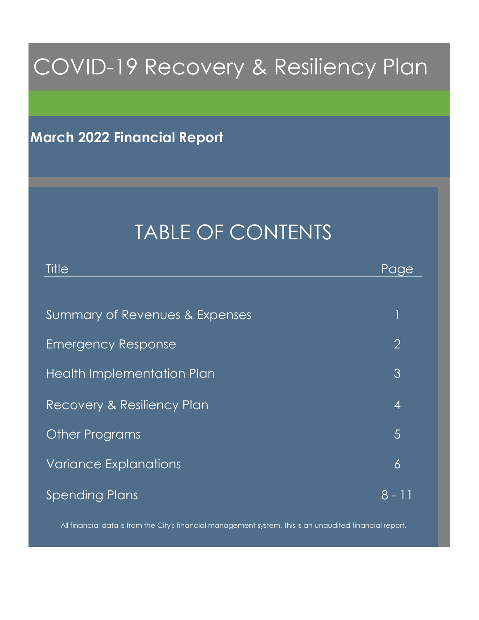# COVID-19 Recovery & Resiliency Plan

**March 2022 Financial Report**

# TABLE OF CONTENTS

| Title                          | Page           |
|--------------------------------|----------------|
|                                |                |
| Summary of Revenues & Expenses |                |
| <b>Emergency Response</b>      | $\overline{2}$ |
| Health Implementation Plan     | 3              |
| Recovery & Resiliency Plan     | $\overline{4}$ |
| <b>Other Programs</b>          | $\overline{5}$ |
| <b>Variance Explanations</b>   | 6              |
| <b>Spending Plans</b>          | 8 - 11         |

All financial data is from the City's financial management system. This is an unaudited financial report.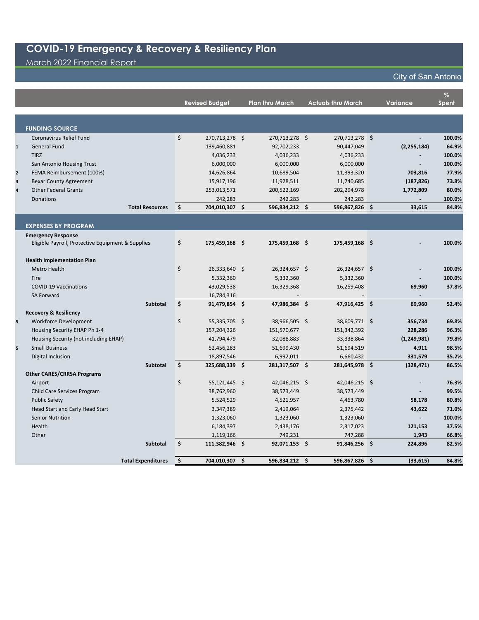#### March 2022 Financial Report

|                         |                                                   | <b>Revised Budget</b> | <b>Plan thru March</b> | <b>Actuals thru March</b> | <b>Variance</b> | $\%$<br><b>Spent</b> |
|-------------------------|---------------------------------------------------|-----------------------|------------------------|---------------------------|-----------------|----------------------|
|                         |                                                   |                       |                        |                           |                 |                      |
|                         | <b>FUNDING SOURCE</b>                             |                       |                        |                           |                 |                      |
|                         | <b>Coronavirus Relief Fund</b>                    | \$<br>270,713,278 \$  | 270,713,278 \$         | 270,713,278 \$            |                 | 100.0%               |
| $\mathbf{1}$            | <b>General Fund</b>                               | 139,460,881           | 92,702,233             | 90,447,049                | (2, 255, 184)   | 64.9%                |
|                         | <b>TIRZ</b>                                       | 4,036,233             | 4,036,233              | 4,036,233                 |                 | 100.0%               |
|                         | San Antonio Housing Trust                         | 6,000,000             | 6,000,000              | 6,000,000                 |                 | 100.0%               |
| $\mathbf{2}$            | FEMA Reimbursement (100%)                         | 14,626,864            | 10,689,504             | 11,393,320                | 703,816         | 77.9%                |
| $\overline{\mathbf{3}}$ | <b>Bexar County Agreement</b>                     | 15,917,196            | 11,928,511             | 11,740,685                | (187, 826)      | 73.8%                |
| $\overline{\mathbf{4}}$ | <b>Other Federal Grants</b>                       | 253,013,571           | 200,522,169            | 202,294,978               | 1,772,809       | 80.0%                |
|                         | <b>Donations</b>                                  | 242,283               | 242,283                | 242,283                   |                 | 100.0%               |
|                         | <b>Total Resources</b>                            | \$<br>704,010,307 \$  | 596,834,212 \$         | 596,867,826 \$            | 33,615          | 84.8%                |
|                         |                                                   |                       |                        |                           |                 |                      |
|                         | <b>EXPENSES BY PROGRAM</b>                        |                       |                        |                           |                 |                      |
|                         | <b>Emergency Response</b>                         |                       |                        |                           |                 |                      |
|                         | Eligible Payroll, Protective Equipment & Supplies | \$<br>175,459,168 \$  | 175,459,168 \$         | 175,459,168 \$            |                 | 100.0%               |
|                         | <b>Health Implementation Plan</b>                 |                       |                        |                           |                 |                      |
|                         | <b>Metro Health</b>                               | \$<br>26,333,640 \$   | 26,324,657 \$          | 26,324,657 \$             |                 | 100.0%               |
|                         | Fire                                              | 5,332,360             | 5,332,360              | 5,332,360                 |                 | 100.0%               |
|                         | <b>COVID-19 Vaccinations</b>                      | 43,029,538            | 16,329,368             | 16,259,408                | 69,960          | 37.8%                |
|                         | <b>SA Forward</b>                                 | 16,784,316            |                        |                           |                 |                      |
|                         | Subtotal                                          | \$<br>91,479,854 \$   | 47,986,384 \$          | 47,916,425 \$             | 69,960          | 52.4%                |
|                         | <b>Recovery &amp; Resiliency</b>                  |                       |                        |                           |                 |                      |
| 5                       | <b>Workforce Development</b>                      | \$<br>55,335,705 \$   | 38,966,505 \$          | 38,609,771 \$             | 356,734         | 69.8%                |
|                         | Housing Security EHAP Ph 1-4                      | 157,204,326           | 151,570,677            | 151,342,392               | 228,286         | 96.3%                |
|                         | Housing Security (not including EHAP)             | 41,794,479            | 32,088,883             | 33,338,864                | (1, 249, 981)   | 79.8%                |
| 5                       | <b>Small Business</b>                             | 52,456,283            | 51,699,430             | 51,694,519                | 4,911           | 98.5%                |
|                         | Digital Inclusion                                 | 18,897,546            | 6,992,011              | 6,660,432                 | 331,579         | 35.2%                |
|                         | <b>Subtotal</b>                                   | \$<br>325,688,339 \$  | 281,317,507 \$         | 281,645,978 \$            | (328, 471)      | 86.5%                |
|                         | <b>Other CARES/CRRSA Programs</b>                 |                       |                        |                           |                 |                      |
|                         | Airport                                           | \$<br>55,121,445 \$   | 42,046,215 \$          | 42,046,215 \$             |                 | 76.3%                |
|                         | Child Care Services Program                       | 38,762,960            | 38,573,449             | 38,573,449                |                 | 99.5%                |
|                         | <b>Public Safety</b>                              | 5,524,529             | 4,521,957              | 4,463,780                 | 58,178          | 80.8%                |
|                         | Head Start and Early Head Start                   | 3,347,389             | 2,419,064              | 2,375,442                 | 43,622          | 71.0%                |
|                         | <b>Senior Nutrition</b>                           | 1,323,060             | 1,323,060              | 1,323,060                 |                 | 100.0%               |
|                         | Health                                            | 6,184,397             | 2,438,176              | 2,317,023                 | 121,153         | 37.5%                |
|                         | Other                                             | 1,119,166             | 749,231                | 747,288                   | 1,943           | 66.8%                |
|                         | <b>Subtotal</b>                                   | \$<br>111,382,946 \$  | 92,071,153 \$          | 91,846,256 \$             | 224,896         | 82.5%                |
|                         | <b>Total Expenditures</b>                         | \$<br>704,010,307 \$  | 596,834,212 \$         | 596,867,826 \$            | (33, 615)       | 84.8%                |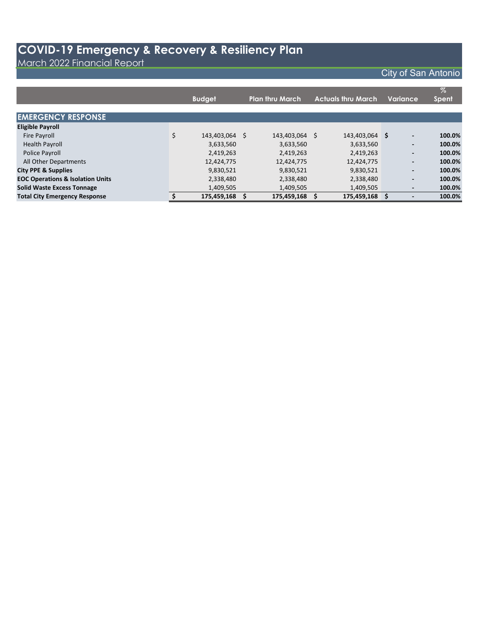March 2022 Financial Report

|                                             |                      |                        |    |                           |                          | $\%$         |
|---------------------------------------------|----------------------|------------------------|----|---------------------------|--------------------------|--------------|
|                                             | <b>Budget</b>        | <b>Plan thru March</b> |    | <b>Actuals thru March</b> | Variance                 | <b>Spent</b> |
|                                             |                      |                        |    |                           |                          |              |
| <b>EMERGENCY RESPONSE</b>                   |                      |                        |    |                           |                          |              |
| <b>Eligible Payroll</b>                     |                      |                        |    |                           |                          |              |
| <b>Fire Payroll</b>                         | \$<br>143,403,064 \$ | 143,403,064            | Ŝ. | 143,403,064 \$            | $\overline{\phantom{a}}$ | 100.0%       |
| <b>Health Payroll</b>                       | 3,633,560            | 3,633,560              |    | 3,633,560                 | $\overline{\phantom{a}}$ | 100.0%       |
| Police Payroll                              | 2,419,263            | 2,419,263              |    | 2,419,263                 | $\overline{\phantom{a}}$ | 100.0%       |
| All Other Departments                       | 12,424,775           | 12,424,775             |    | 12,424,775                | $\overline{\phantom{a}}$ | 100.0%       |
| <b>City PPE &amp; Supplies</b>              | 9,830,521            | 9,830,521              |    | 9,830,521                 | $\overline{\phantom{a}}$ | 100.0%       |
| <b>EOC Operations &amp; Isolation Units</b> | 2,338,480            | 2,338,480              |    | 2,338,480                 | $\overline{\phantom{a}}$ | 100.0%       |
| <b>Solid Waste Excess Tonnage</b>           | 1,409,505            | 1,409,505              |    | 1,409,505                 | $\overline{\phantom{0}}$ | 100.0%       |
| <b>Total City Emergency Response</b>        | 175,459,168          | 175,459,168            |    | 175,459,168               |                          | 100.0%       |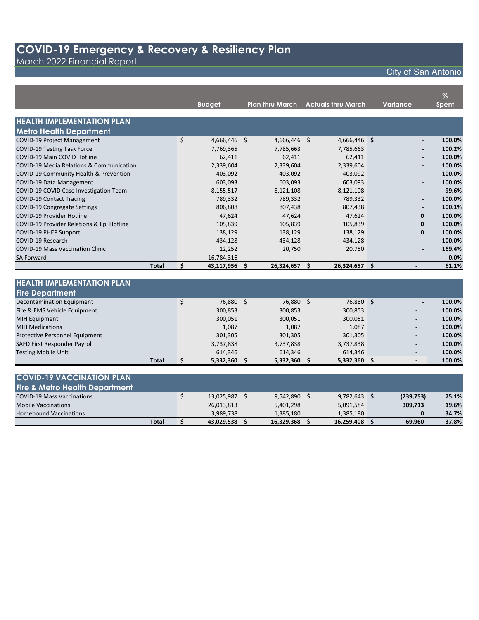March 2022 Financial Report

|                                           |              |    | <b>Budget</b> | <b>Plan thru March</b> |    | <b>Actuals thru March</b> | Variance |                          | $\%$<br><b>Spent</b> |
|-------------------------------------------|--------------|----|---------------|------------------------|----|---------------------------|----------|--------------------------|----------------------|
| <b>HEALTH IMPLEMENTATION PLAN</b>         |              |    |               |                        |    |                           |          |                          |                      |
| <b>Metro Health Department</b>            |              |    |               |                        |    |                           |          |                          |                      |
| <b>COVID-19 Project Management</b>        |              | \$ | 4,666,446 \$  | $4,666,446$ \$         |    | 4,666,446 \$              |          |                          | 100.0%               |
| <b>COVID-19 Testing Task Force</b>        |              |    | 7,769,365     | 7,785,663              |    | 7,785,663                 |          |                          | 100.2%               |
| COVID-19 Main COVID Hotline               |              |    | 62,411        | 62,411                 |    | 62,411                    |          |                          | 100.0%               |
| COVID-19 Media Relations & Communication  |              |    | 2,339,604     | 2,339,604              |    | 2,339,604                 |          |                          | 100.0%               |
| COVID-19 Community Health & Prevention    |              |    | 403.092       | 403.092                |    | 403.092                   |          | ۰                        | 100.0%               |
| COVID-19 Data Management                  |              |    | 603,093       | 603,093                |    | 603,093                   |          | ۰                        | 100.0%               |
| COVID-19 COVID Case Investigation Team    |              |    | 8,155,517     | 8,121,108              |    | 8,121,108                 |          |                          | 99.6%                |
| <b>COVID-19 Contact Tracing</b>           |              |    | 789,332       | 789,332                |    | 789,332                   |          | ۰                        | 100.0%               |
| COVID-19 Congregate Settings              |              |    | 806,808       | 807,438                |    | 807,438                   |          | $\overline{\phantom{0}}$ | 100.1%               |
| COVID-19 Provider Hotline                 |              |    | 47,624        | 47,624                 |    | 47,624                    |          | 0                        | 100.0%               |
| COVID-19 Provider Relations & Epi Hotline |              |    | 105,839       | 105,839                |    | 105,839                   |          | 0                        | 100.0%               |
| <b>COVID-19 PHEP Support</b>              |              |    | 138,129       | 138,129                |    | 138,129                   |          | 0                        | 100.0%               |
| COVID-19 Research                         |              |    | 434,128       | 434,128                |    | 434,128                   |          |                          | 100.0%               |
| <b>COVID-19 Mass Vaccination Clinic</b>   |              |    | 12,252        | 20,750                 |    | 20,750                    |          |                          | 169.4%               |
| <b>SA Forward</b>                         |              |    | 16,784,316    |                        |    |                           |          | $\overline{\phantom{0}}$ | 0.0%                 |
|                                           | <b>Total</b> | Ś. | 43,117,956 \$ | 26,324,657             | Ś. | 26,324,657 \$             |          | $\overline{\phantom{0}}$ | 61.1%                |
|                                           |              |    |               |                        |    |                           |          |                          |                      |
| <b>HEALTH IMPLEMENTATION PLAN</b>         |              |    |               |                        |    |                           |          |                          |                      |
| <b>Fire Denartment</b>                    |              |    |               |                        |    |                           |          |                          |                      |

| <b>Fire Department</b>                |           |           |           |                          |        |
|---------------------------------------|-----------|-----------|-----------|--------------------------|--------|
| Decontamination Equipment             | 76,880 \$ | 76,880    | 76,880 \$ | $\overline{\phantom{0}}$ | 100.0% |
| Fire & EMS Vehicle Equipment          | 300,853   | 300,853   | 300,853   | $\overline{\phantom{0}}$ | 100.0% |
| <b>MIH Equipment</b>                  | 300,051   | 300,051   | 300,051   | $\overline{\phantom{0}}$ | 100.0% |
| <b>MIH Medications</b>                | 1,087     | 1,087     | 1,087     | $\blacksquare$           | 100.0% |
| <b>Protective Personnel Equipment</b> | 301,305   | 301,305   | 301,305   | $\overline{\phantom{0}}$ | 100.0% |
| <b>SAFD First Responder Payroll</b>   | 3,737,838 | 3,737,838 | 3,737,838 | $\blacksquare$           | 100.0% |
| <b>Testing Mobile Unit</b>            | 614.346   | 614,346   | 614.346   |                          | 100.0% |
| <b>Total</b>                          | 5,332,360 | 5,332,360 | 5,332,360 |                          | 100.0% |

| <b>COVID-19 VACCINATION PLAN</b>          |            |            |                |           |       |
|-------------------------------------------|------------|------------|----------------|-----------|-------|
| <b>Fire &amp; Metro Health Department</b> |            |            |                |           |       |
| <b>COVID-19 Mass Vaccinations</b>         | 13,025,987 | 9,542,890  | $9,782,643$ \$ | (239,753) | 75.1% |
| <b>Mobile Vaccinations</b>                | 26,013,813 | 5,401,298  | 5,091,584      | 309,713   | 19.6% |
| <b>Homebound Vaccinations</b>             | 3.989.738  | 1,385,180  | 1.385.180      | 0         | 34.7% |
| <b>Total</b>                              | 43,029,538 | 16.329.368 | 16,259,408     | 69.960    | 37.8% |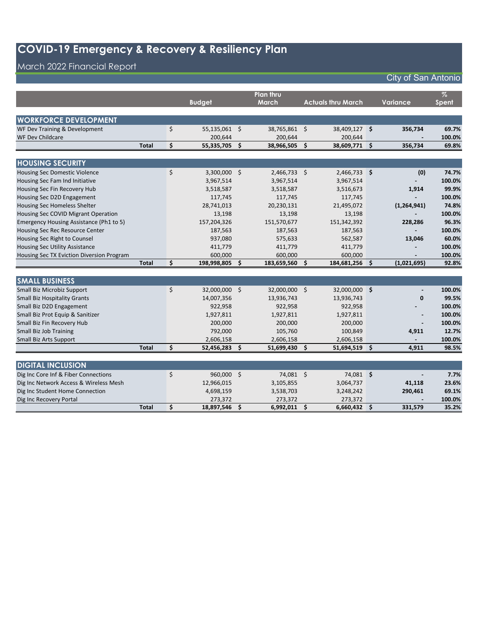### March 2022 Financial Report

|                                           |              |                      |     | Plan thru      |                    |                           |     |                 | $\%$   |
|-------------------------------------------|--------------|----------------------|-----|----------------|--------------------|---------------------------|-----|-----------------|--------|
|                                           |              | <b>Budget</b>        |     | <b>March</b>   |                    | <b>Actuals thru March</b> |     | <b>Variance</b> | Spent  |
|                                           |              |                      |     |                |                    |                           |     |                 |        |
| <b>WORKFORCE DEVELOPMENT</b>              |              |                      |     |                |                    |                           |     |                 |        |
| WF Dev Training & Development             |              | \$<br>55,135,061 \$  |     | 38,765,861 \$  |                    | 38,409,127 \$             |     | 356,734         | 69.7%  |
| <b>WF Dev Childcare</b>                   |              | 200,644              |     | 200,644        |                    | 200,644                   |     |                 | 100.0% |
|                                           | <b>Total</b> | \$<br>55,335,705     | Ŝ.  | 38,966,505     | $\mathsf{\hat{S}}$ | 38,609,771 \$             |     | 356,734         | 69.8%  |
|                                           |              |                      |     |                |                    |                           |     |                 |        |
| <b>HOUSING SECURITY</b>                   |              |                      |     |                |                    |                           |     |                 |        |
| <b>Housing Sec Domestic Violence</b>      |              | \$<br>$3,300,000$ \$ |     | $2,466,733$ \$ |                    | 2,466,733 \$              |     | (0)             | 74.7%  |
| Housing Sec Fam Ind Initiative            |              | 3,967,514            |     | 3,967,514      |                    | 3,967,514                 |     |                 | 100.0% |
| Housing Sec Fin Recovery Hub              |              | 3,518,587            |     | 3,518,587      |                    | 3,516,673                 |     | 1,914           | 99.9%  |
| Housing Sec D2D Engagement                |              | 117,745              |     | 117,745        |                    | 117,745                   |     |                 | 100.0% |
| <b>Housing Sec Homeless Shelter</b>       |              | 28,741,013           |     | 20,230,131     |                    | 21,495,072                |     | (1, 264, 941)   | 74.8%  |
| Housing Sec COVID Migrant Operation       |              | 13,198               |     | 13,198         |                    | 13,198                    |     |                 | 100.0% |
| Emergency Housing Assistance (Ph1 to 5)   |              | 157,204,326          |     | 151,570,677    |                    | 151,342,392               |     | 228,286         | 96.3%  |
| Housing Sec Rec Resource Center           |              | 187,563              |     | 187,563        |                    | 187,563                   |     |                 | 100.0% |
| Housing Sec Right to Counsel              |              | 937,080              |     | 575,633        |                    | 562,587                   |     | 13,046          | 60.0%  |
| Housing Sec Utility Assistance            |              | 411,779              |     | 411,779        |                    | 411,779                   |     |                 | 100.0% |
| Housing Sec TX Eviction Diversion Program |              | 600,000              |     | 600,000        |                    | 600,000                   |     |                 | 100.0% |
|                                           | <b>Total</b> | \$<br>198,998,805    | S.  | 183,659,560    | \$                 | 184,681,256               | -\$ | (1,021,695)     | 92.8%  |
|                                           |              |                      |     |                |                    |                           |     |                 |        |
| <b>SMALL BUSINESS</b>                     |              |                      |     |                |                    |                           |     |                 |        |
| Small Biz Microbiz Support                |              | \$<br>32,000,000 \$  |     | 32,000,000 \$  |                    | 32,000,000 \$             |     |                 | 100.0% |
| <b>Small Biz Hospitality Grants</b>       |              | 14,007,356           |     | 13,936,743     |                    | 13,936,743                |     | $\mathbf 0$     | 99.5%  |
| Small Biz D2D Engagement                  |              | 922,958              |     | 922,958        |                    | 922,958                   |     |                 | 100.0% |
| Small Biz Prot Equip & Sanitizer          |              | 1,927,811            |     | 1,927,811      |                    | 1,927,811                 |     |                 | 100.0% |
| Small Biz Fin Recovery Hub                |              | 200,000              |     | 200,000        |                    | 200,000                   |     |                 | 100.0% |
| Small Biz Job Training                    |              | 792,000              |     | 105,760        |                    | 100,849                   |     | 4,911           | 12.7%  |
| Small Biz Arts Support                    |              | 2,606,158            |     | 2,606,158      |                    | 2,606,158                 |     |                 | 100.0% |
|                                           | <b>Total</b> | \$<br>52,456,283     | \$. | 51,699,430     | Ŝ.                 | 51,694,519 \$             |     | 4,911           | 98.5%  |
|                                           |              |                      |     |                |                    |                           |     |                 |        |
| <b>DIGITAL INCLUSION</b>                  |              |                      |     |                |                    |                           |     |                 |        |
| Dig Inc Core Inf & Fiber Connections      |              | \$<br>960,000        | \$  | 74,081 \$      |                    | 74,081 \$                 |     |                 | 7.7%   |

| Dig Inc Core Inf & Fiber Connections   | 960,000 \$ | 74.081    | 74,081    | $\blacksquare$ | 7.7%   |
|----------------------------------------|------------|-----------|-----------|----------------|--------|
| Dig Inc Network Access & Wireless Mesh | 12,966,015 | 3.105.855 | 3.064.737 | 41.118         | 23.6%  |
| Dig Inc Student Home Connection        | 4,698,159  | 3,538,703 | 3.248.242 | 290.461        | 69.1%  |
| Dig Inc Recovery Portal                | 273.372    | 273.372   | 273.372   |                | 100.0% |
| <b>Total</b>                           | 18.897.546 | 6.992.011 | 6.660.432 | 331.579        | 35.2%  |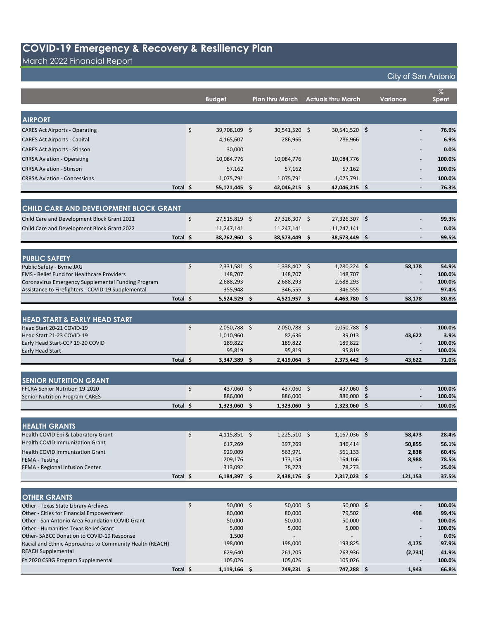March 2022 Financial Report

the control of the control of the control of the control of the control of

### City of San Antonio

**%** 

|                                                                                          |          | <b>Budget</b>        |     | <b>Plan thru March</b> |     | <b>Actuals thru March</b> | Variance                     | <b>Spent</b>     |
|------------------------------------------------------------------------------------------|----------|----------------------|-----|------------------------|-----|---------------------------|------------------------------|------------------|
|                                                                                          |          |                      |     |                        |     |                           |                              |                  |
| <b>AIRPORT</b>                                                                           |          |                      |     |                        |     |                           |                              |                  |
| <b>CARES Act Airports - Operating</b>                                                    |          | \$<br>39,708,109 \$  |     | 30,541,520 \$          |     | 30,541,520 \$             |                              | 76.9%            |
| <b>CARES Act Airports - Capital</b>                                                      |          | 4,165,607            |     | 286,966                |     | 286,966                   |                              | 6.9%             |
|                                                                                          |          |                      |     |                        |     |                           |                              |                  |
| <b>CARES Act Airports - Stinson</b>                                                      |          | 30,000               |     |                        |     |                           |                              | 0.0%             |
| <b>CRRSA Aviation - Operating</b>                                                        |          | 10,084,776           |     | 10,084,776             |     | 10,084,776                |                              | 100.0%           |
| <b>CRRSA Aviation - Stinson</b>                                                          |          | 57,162               |     | 57,162                 |     | 57,162                    | $\overline{\phantom{0}}$     | 100.0%           |
| <b>CRRSA Aviation - Concessions</b>                                                      |          | 1,075,791            |     | 1,075,791              |     | 1,075,791                 |                              | 100.0%           |
|                                                                                          | Total \$ | 55,121,445 \$        |     | 42,046,215 \$          |     | 42,046,215 \$             | $\overline{a}$               | 76.3%            |
|                                                                                          |          |                      |     |                        |     |                           |                              |                  |
| CHILD CARE AND DEVELOPMENT BLOCK GRANT                                                   |          |                      |     |                        |     |                           |                              |                  |
| Child Care and Development Block Grant 2021                                              |          | \$<br>27,515,819 \$  |     | 27,326,307 \$          |     | 27,326,307 \$             |                              | 99.3%            |
| Child Care and Development Block Grant 2022                                              |          | 11,247,141           |     | 11,247,141             |     | 11,247,141                | $\overline{\phantom{a}}$     | 0.0%             |
|                                                                                          | Total \$ | 38,762,960 \$        |     | 38,573,449 \$          |     | 38,573,449 \$             | $\blacksquare$               | 99.5%            |
|                                                                                          |          |                      |     |                        |     |                           |                              |                  |
| <b>PUBLIC SAFETY</b>                                                                     |          |                      |     |                        |     |                           |                              |                  |
| Public Safety - Byrne JAG                                                                |          | \$<br>$2,331,581$ \$ |     | $1,338,402$ \$         |     | $1,280,224$ \$            | 58,178                       | 54.9%            |
| <b>EMS</b> - Relief Fund for Healthcare Providers                                        |          | 148,707              |     | 148,707                |     | 148,707                   |                              | 100.0%           |
| Coronavirus Emergency Supplemental Funding Program                                       |          | 2,688,293            |     | 2,688,293              |     | 2,688,293                 |                              | 100.0%           |
| Assistance to Firefighters - COVID-19 Supplemental                                       |          | 355,948              |     | 346,555                |     | 346,555                   | $\overline{\phantom{a}}$     | 97.4%            |
|                                                                                          | Total \$ | $5,524,529$ \$       |     | $4,521,957$ \$         |     | 4,463,780 \$              | 58,178                       | 80.8%            |
|                                                                                          |          |                      |     |                        |     |                           |                              |                  |
| <b>HEAD START &amp; EARLY HEAD START</b>                                                 |          |                      |     |                        |     |                           |                              |                  |
| Head Start 20-21 COVID-19                                                                |          | \$<br>$2,050,788$ \$ |     | $2,050,788$ \$         |     | $2,050,788$ \$            | $\blacksquare$               | 100.0%           |
| Head Start 21-23 COVID-19                                                                |          | 1,010,960            |     | 82,636                 |     | 39,013                    | 43,622                       | 3.9%             |
| Early Head Start-CCP 19-20 COVID                                                         |          | 189,822              |     | 189,822                |     | 189,822                   |                              | 100.0%           |
| <b>Early Head Start</b>                                                                  |          | 95,819               |     | 95,819                 |     | 95,819                    |                              | 100.0%           |
|                                                                                          | Total \$ | 3,347,389 \$         |     | 2,419,064 \$           |     | 2,375,442 \$              | 43,622                       | 71.0%            |
|                                                                                          |          |                      |     |                        |     |                           |                              |                  |
| <b>SENIOR NUTRITION GRANT</b>                                                            |          |                      |     |                        |     |                           |                              |                  |
| FFCRA Senior Nutrition 19-2020                                                           |          | \$<br>437,060 \$     |     | 437,060 \$             |     | 437,060 \$                | $\blacksquare$               | 100.0%           |
| <b>Senior Nutrition Program-CARES</b>                                                    |          | 886,000              |     | 886,000                |     | 886,000                   | \$                           | 100.0%           |
|                                                                                          | Total \$ | 1,323,060            | -\$ | 1,323,060              | -\$ | $1,323,060$ \$            |                              | 100.0%           |
|                                                                                          |          |                      |     |                        |     |                           |                              |                  |
| <b>HEALTH GRANTS</b>                                                                     |          |                      |     |                        |     |                           |                              |                  |
| Health COVID Epi & Laboratory Grant                                                      |          | \$<br>$4,115,851$ \$ |     | $1,225,510$ \$         |     | $1,167,036$ \$            | 58,473                       | 28.4%            |
| Health COVID Immunization Grant                                                          |          | 617,269              |     | 397,269                |     | 346,414                   | 50,855                       | 56.1%            |
| Health COVID Immunization Grant                                                          |          | 929,009              |     | 563,971                |     | 561,133                   | 2,838                        | 60.4%            |
| <b>FEMA - Testing</b>                                                                    |          | 209,176              |     | 173,154                |     | 164,166                   | 8,988                        | 78.5%            |
| FEMA - Regional Infusion Center                                                          |          | 313,092              |     | 78,273                 |     | 78,273                    |                              | 25.0%            |
|                                                                                          | Total \$ | $6,184,397$ \$       |     | $2,438,176$ \$         |     | $2,317,023$ \$            | 121,153                      | 37.5%            |
|                                                                                          |          |                      |     |                        |     |                           |                              |                  |
| <b>OTHER GRANTS</b>                                                                      |          |                      |     |                        |     |                           |                              |                  |
| Other - Texas State Library Archives                                                     |          | \$<br>$50,000$ \$    |     | $50,000$ \$            |     | $50,000$ \$               | $\overline{\phantom{a}}$     | 100.0%           |
| Other - Cities for Financial Empowerment                                                 |          | 80,000               |     | 80,000                 |     | 79,502                    | 498                          | 99.4%            |
| Other - San Antonio Area Foundation COVID Grant<br>Other - Humanities Texas Relief Grant |          | 50,000<br>5,000      |     | 50,000<br>5,000        |     | 50,000<br>5,000           | $\qquad \qquad \blacksquare$ | 100.0%<br>100.0% |
| Other-SABCC Donation to COVID-19 Response                                                |          | 1,500                |     |                        |     |                           |                              | 0.0%             |
| Racial and Ethnic Approaches to Community Health (REACH)                                 |          | 198,000              |     | 198,000                |     | 193,825                   | 4,175                        | 97.9%            |
| <b>REACH Supplemental</b>                                                                |          | 629,640              |     | 261,205                |     | 263,936                   | (2,731)                      | 41.9%            |
| FY 2020 CSBG Program Supplemental                                                        |          | 105,026              |     | 105,026                |     | 105,026                   |                              | 100.0%           |
|                                                                                          | Total \$ | $1,119,166$ \$       |     | 749,231 \$             |     | 747,288 \$                | 1,943                        | 66.8%            |
|                                                                                          |          |                      |     |                        |     |                           |                              |                  |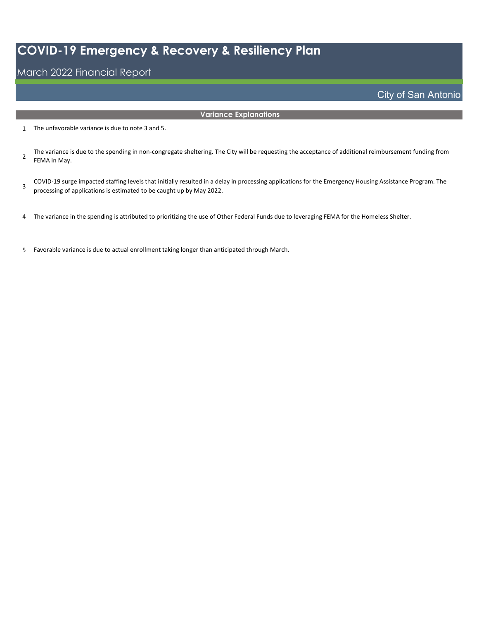#### March 2022 Financial Report

#### **Variance Explanations**

- 1 The unfavorable variance is due to note 3 and 5.
- 2 The variance is due to the spending in non-congregate sheltering. The City will be requesting the acceptance of additional reimbursement funding from FEMA in May.
- 3 COVID-19 surge impacted staffing levels that initially resulted in a delay in processing applications for the Emergency Housing Assistance Program. The processing of applications is estimated to be caught up by May 2022.
- 4 The variance in the spending is attributed to prioritizing the use of Other Federal Funds due to leveraging FEMA for the Homeless Shelter.
- 5 Favorable variance is due to actual enrollment taking longer than anticipated through March.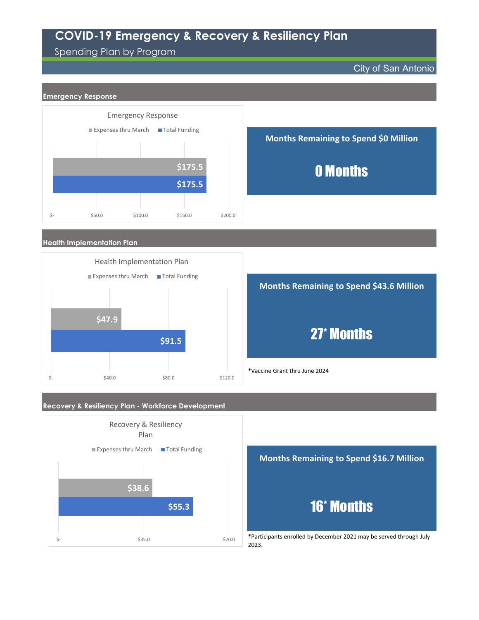### Spending Plan by Program

City of San Antonio







#### **Recovery & Resiliency Plan - Workforce Development**





2023.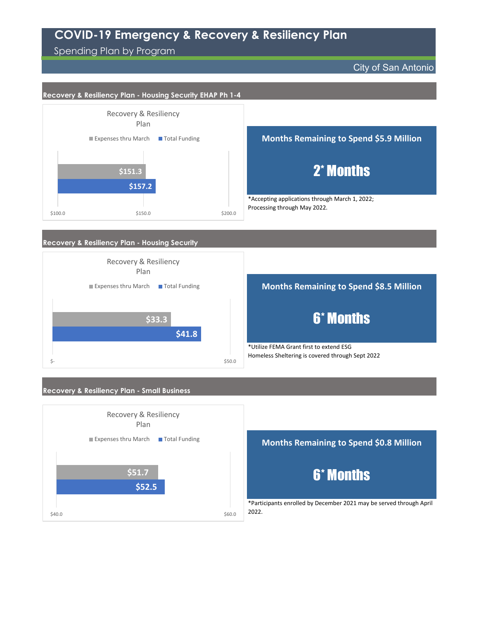Spending Plan by Program

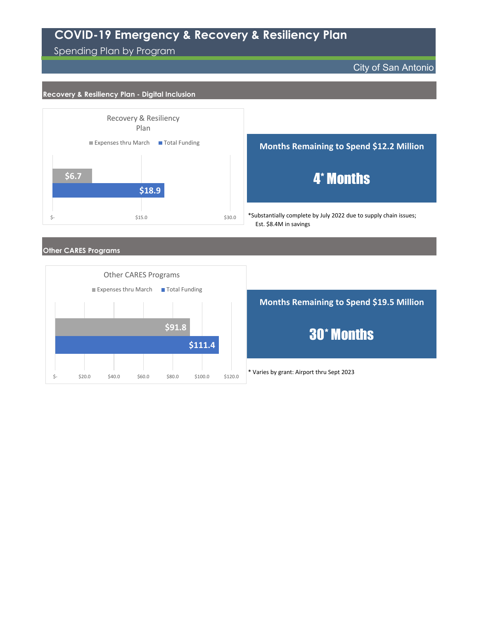### Spending Plan by Program

#### City of San Antonio

#### **Recovery & Resiliency Plan - Digital Inclusion**



\*Substantially complete by July 2022 due to supply chain issues; 4\* Months **Months Remaining to Spend \$12.2 Million**

Est. \$8.4M in savings

#### **Other CARES Programs**



**Months Remaining to Spend \$19.5 Million** 30\* Months

\* Varies by grant: Airport thru Sept 2023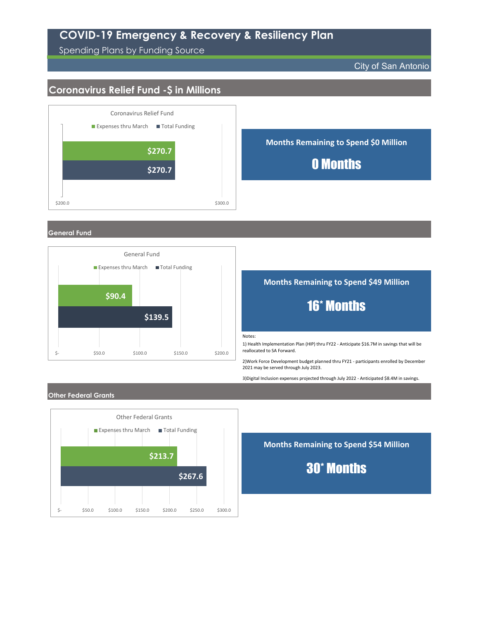Spending Plans by Funding Source

City of San Antonio

### **Coronavirus Relief Fund -\$ in Millions**



**General Fund**



**Months Remaining to Spend \$49 Million**

## 16\* Months

Notes:

1) Health Implementation Plan (HIP) thru FY22 - Anticipate \$16.7M in savings that will be reallocated to SA Forward.

2)Work Force Development budget planned thru FY21 - participants enrolled by December 2021 may be served through July 2023.

3)Digital Inclusion expenses projected through July 2022 - Anticipated \$8.4M in savings.

#### **Other Federal Grants**



**Months Remaining to Spend \$54 Million**

30\* Months